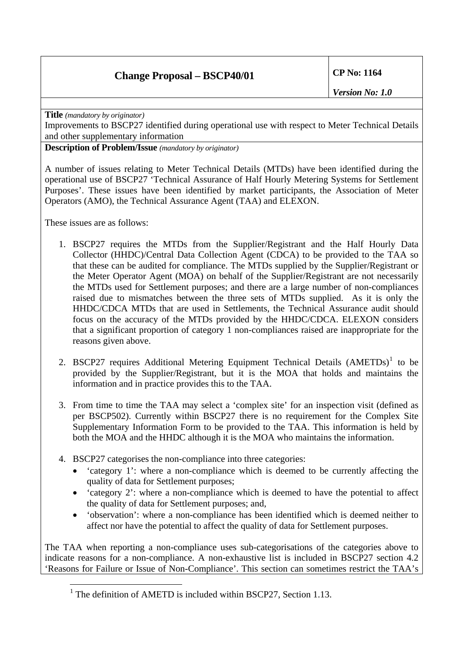## **Change Proposal – BSCP40/01 CP No: 1164**

*Version No: 1.0* 

**Title** *(mandatory by originator)* 

Improvements to BSCP27 identified during operational use with respect to Meter Technical Details and other supplementary information

**Description of Problem/Issue** *(mandatory by originator)* 

A number of issues relating to Meter Technical Details (MTDs) have been identified during the operational use of BSCP27 'Technical Assurance of Half Hourly Metering Systems for Settlement Purposes'. These issues have been identified by market participants, the Association of Meter Operators (AMO), the Technical Assurance Agent (TAA) and ELEXON.

These issues are as follows:

 $\overline{a}$ 

- 1. BSCP27 requires the MTDs from the Supplier/Registrant and the Half Hourly Data Collector (HHDC)/Central Data Collection Agent (CDCA) to be provided to the TAA so that these can be audited for compliance. The MTDs supplied by the Supplier/Registrant or the Meter Operator Agent (MOA) on behalf of the Supplier/Registrant are not necessarily the MTDs used for Settlement purposes; and there are a large number of non-compliances raised due to mismatches between the three sets of MTDs supplied. As it is only the HHDC/CDCA MTDs that are used in Settlements, the Technical Assurance audit should focus on the accuracy of the MTDs provided by the HHDC/CDCA. ELEXON considers that a significant proportion of category 1 non-compliances raised are inappropriate for the reasons given above.
- 2. BSCP27 requires Additional Metering Equipment Technical Details (AMETDs)<sup>[1](#page-0-0)</sup> to be provided by the Supplier/Registrant, but it is the MOA that holds and maintains the information and in practice provides this to the TAA.
- 3. From time to time the TAA may select a 'complex site' for an inspection visit (defined as per BSCP502). Currently within BSCP27 there is no requirement for the Complex Site Supplementary Information Form to be provided to the TAA. This information is held by both the MOA and the HHDC although it is the MOA who maintains the information.
- 4. BSCP27 categorises the non-compliance into three categories:
	- 'category 1': where a non-compliance which is deemed to be currently affecting the quality of data for Settlement purposes;
	- 'category 2': where a non-compliance which is deemed to have the potential to affect the quality of data for Settlement purposes; and,
	- 'observation': where a non-compliance has been identified which is deemed neither to affect nor have the potential to affect the quality of data for Settlement purposes.

<span id="page-0-0"></span>The TAA when reporting a non-compliance uses sub-categorisations of the categories above to indicate reasons for a non-compliance. A non-exhaustive list is included in BSCP27 section 4.2 'Reasons for Failure or Issue of Non-Compliance'. This section can sometimes restrict the TAA's

<sup>&</sup>lt;sup>1</sup> The definition of AMETD is included within BSCP27, Section 1.13.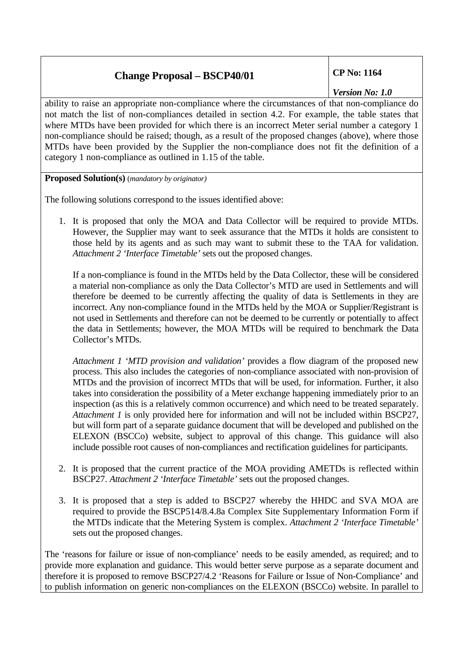## **Change Proposal – BSCP40/01 CP No: 1164**

*Version No: 1.0* 

ability to raise an appropriate non-compliance where the circumstances of that non-compliance do not match the list of non-compliances detailed in section 4.2. For example, the table states that where MTDs have been provided for which there is an incorrect Meter serial number a category 1 non-compliance should be raised; though, as a result of the proposed changes (above), where those MTDs have been provided by the Supplier the non-compliance does not fit the definition of a category 1 non-compliance as outlined in 1.15 of the table.

**Proposed Solution(s)** (*mandatory by originator)* 

The following solutions correspond to the issues identified above:

1. It is proposed that only the MOA and Data Collector will be required to provide MTDs. However, the Supplier may want to seek assurance that the MTDs it holds are consistent to those held by its agents and as such may want to submit these to the TAA for validation. *Attachment 2 'Interface Timetable'* sets out the proposed changes.

If a non-compliance is found in the MTDs held by the Data Collector, these will be considered a material non-compliance as only the Data Collector's MTD are used in Settlements and will therefore be deemed to be currently affecting the quality of data is Settlements in they are incorrect. Any non-compliance found in the MTDs held by the MOA or Supplier/Registrant is not used in Settlements and therefore can not be deemed to be currently or potentially to affect the data in Settlements; however, the MOA MTDs will be required to benchmark the Data Collector's MTDs.

*Attachment 1 'MTD provision and validation'* provides a flow diagram of the proposed new process. This also includes the categories of non-compliance associated with non-provision of MTDs and the provision of incorrect MTDs that will be used, for information. Further, it also takes into consideration the possibility of a Meter exchange happening immediately prior to an inspection (as this is a relatively common occurrence) and which need to be treated separately. *Attachment 1* is only provided here for information and will not be included within BSCP27, but will form part of a separate guidance document that will be developed and published on the ELEXON (BSCCo) website, subject to approval of this change. This guidance will also include possible root causes of non-compliances and rectification guidelines for participants.

- 2. It is proposed that the current practice of the MOA providing AMETDs is reflected within BSCP27. *Attachment 2 'Interface Timetable'* sets out the proposed changes.
- 3. It is proposed that a step is added to BSCP27 whereby the HHDC and SVA MOA are required to provide the BSCP514/8.4.8a Complex Site Supplementary Information Form if the MTDs indicate that the Metering System is complex. *Attachment 2 'Interface Timetable'* sets out the proposed changes.

The 'reasons for failure or issue of non-compliance' needs to be easily amended, as required; and to provide more explanation and guidance. This would better serve purpose as a separate document and therefore it is proposed to remove BSCP27/4.2 'Reasons for Failure or Issue of Non-Compliance' and to publish information on generic non-compliances on the ELEXON (BSCCo) website. In parallel to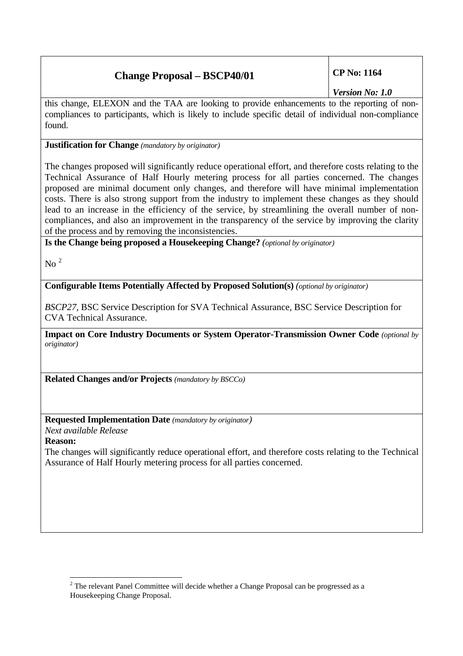# **Change Proposal – BSCP40/01 CP No: 1164**

*Version No: 1.0* 

this change, ELEXON and the TAA are looking to provide enhancements to the reporting of noncompliances to participants, which is likely to include specific detail of individual non-compliance found.

**Justification for Change** *(mandatory by originator)* 

The changes proposed will significantly reduce operational effort, and therefore costs relating to the Technical Assurance of Half Hourly metering process for all parties concerned. The changes proposed are minimal document only changes, and therefore will have minimal implementation costs. There is also strong support from the industry to implement these changes as they should lead to an increase in the efficiency of the service, by streamlining the overall number of noncompliances, and also an improvement in the transparency of the service by improving the clarity of the process and by removing the inconsistencies.

**Is the Change being proposed a Housekeeping Change?** *(optional by originator)*

 $\mathrm{No}$ <sup>[2](#page-2-0)</sup>

**Configurable Items Potentially Affected by Proposed Solution(s)** *(optional by originator)* 

*BSCP27,* BSC Service Description for SVA Technical Assurance, BSC Service Description for CVA Technical Assurance.

**Impact on Core Industry Documents or System Operator-Transmission Owner Code** *(optional by originator)*

**Related Changes and/or Projects** *(mandatory by BSCCo)*

**Requested Implementation Date** *(mandatory by originator)* 

*Next available Release* 

**Reason:**

The changes will significantly reduce operational effort, and therefore costs relating to the Technical Assurance of Half Hourly metering process for all parties concerned.

<span id="page-2-0"></span> $\overline{a}$  $2^2$  The relevant Panel Committee will decide whether a Change Proposal can be progressed as a Housekeeping Change Proposal.